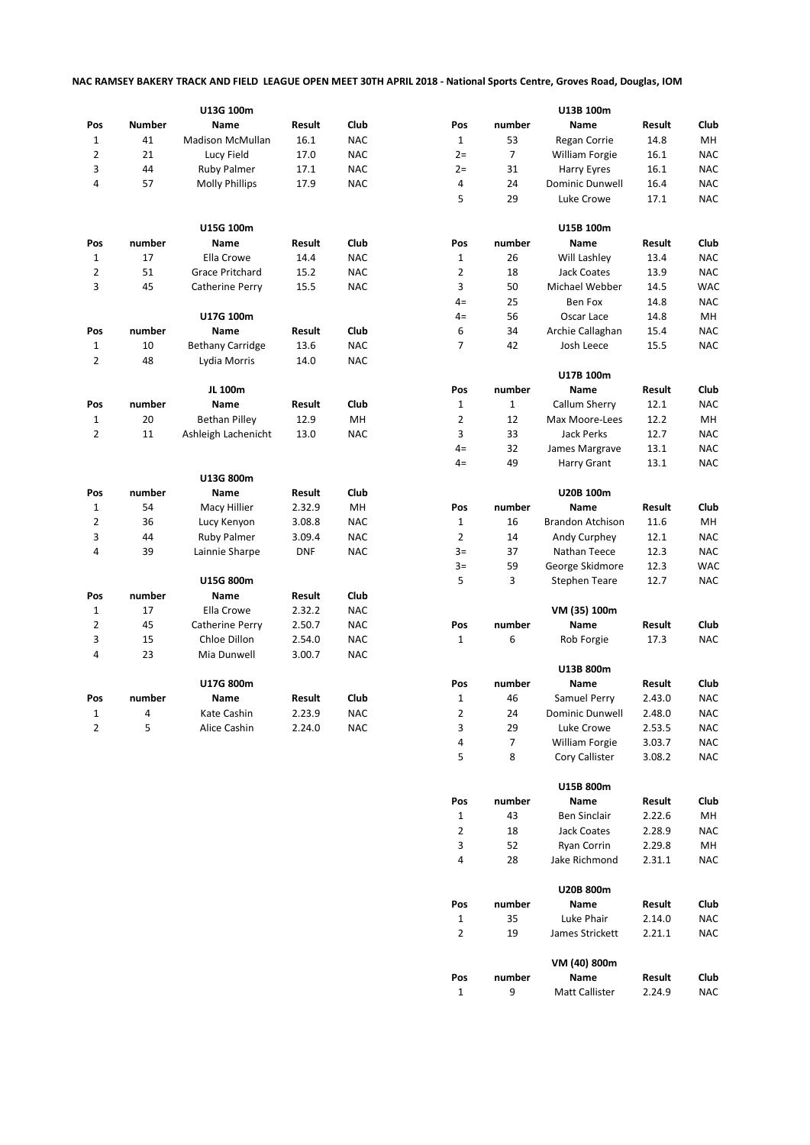## **NAC RAMSEY BAKERY TRACK AND FIELD LEAGUE OPEN MEET 30TH APRIL 2018 - National Sports Centre, Groves Road, Douglas, IOM**

|                | U13G 100m     |                         |            | U13B 100m  |                         |        |                         |                                                                                                                                                                                                                                                                                                                |            |
|----------------|---------------|-------------------------|------------|------------|-------------------------|--------|-------------------------|----------------------------------------------------------------------------------------------------------------------------------------------------------------------------------------------------------------------------------------------------------------------------------------------------------------|------------|
| Pos            | <b>Number</b> | Name                    | Result     | Club       | Pos                     | number | Name                    | Result                                                                                                                                                                                                                                                                                                         | Club       |
| $\mathbf{1}$   | 41            | <b>Madison McMullan</b> | 16.1       | <b>NAC</b> | $\mathbf{1}$            | 53     | Regan Corrie            | 14.8                                                                                                                                                                                                                                                                                                           | MH         |
| 2              | 21            | Lucy Field              | 17.0       | <b>NAC</b> | $2 =$                   | 7      | William Forgie          |                                                                                                                                                                                                                                                                                                                | <b>NAC</b> |
| 3              | 44            | <b>Ruby Palmer</b>      | 17.1       | <b>NAC</b> | $2 =$                   | 31     | Harry Eyres             |                                                                                                                                                                                                                                                                                                                | <b>NAC</b> |
| 4              | 57            | <b>Molly Phillips</b>   | 17.9       | <b>NAC</b> | 4                       | 24     | <b>Dominic Dunwell</b>  | 16.1<br>16.1<br>16.4<br>17.1<br>Result<br>13.4<br>13.9<br>14.5<br>14.8<br>14.8<br>15.4<br>15.5<br>Result<br>12.1<br>12.2<br>12.7<br>13.1<br>13.1<br>Result<br>11.6<br>12.1<br>12.3<br>12.3<br>12.7<br>Result<br>17.3<br>Result<br>2.43.0<br>2.48.0<br>2.53.5<br>3.03.7<br>3.08.2<br>Result<br>2.22.6<br>2.28.9 | <b>NAC</b> |
|                |               |                         |            |            | 5                       | 29     | Luke Crowe              |                                                                                                                                                                                                                                                                                                                | <b>NAC</b> |
|                |               |                         |            |            |                         |        |                         |                                                                                                                                                                                                                                                                                                                |            |
|                |               | U15G 100m               |            |            |                         |        | U15B 100m               |                                                                                                                                                                                                                                                                                                                |            |
| Pos            | number        | Name                    | Result     | Club       | Pos                     | number | Name                    |                                                                                                                                                                                                                                                                                                                | Club       |
| 1              | 17            | Ella Crowe              | 14.4       | <b>NAC</b> | $\mathbf{1}$            | 26     | Will Lashley            |                                                                                                                                                                                                                                                                                                                | <b>NAC</b> |
| 2              | 51            | Grace Pritchard         | 15.2       | <b>NAC</b> | 2                       | 18     | <b>Jack Coates</b>      |                                                                                                                                                                                                                                                                                                                | <b>NAC</b> |
| 3              | 45            | Catherine Perry         | 15.5       | <b>NAC</b> | 3                       | 50     | Michael Webber          |                                                                                                                                                                                                                                                                                                                | <b>WAC</b> |
|                |               |                         |            |            |                         | 25     |                         |                                                                                                                                                                                                                                                                                                                |            |
|                |               |                         |            |            | $4=$                    |        | Ben Fox                 |                                                                                                                                                                                                                                                                                                                | <b>NAC</b> |
|                |               | U17G 100m               |            |            | $4=$                    | 56     | Oscar Lace              |                                                                                                                                                                                                                                                                                                                | MН         |
| Pos            | number        | Name                    | Result     | Club       | 6                       | 34     | Archie Callaghan        |                                                                                                                                                                                                                                                                                                                | <b>NAC</b> |
| 1              | 10            | <b>Bethany Carridge</b> | 13.6       | <b>NAC</b> | $\overline{7}$          | 42     | Josh Leece              |                                                                                                                                                                                                                                                                                                                | <b>NAC</b> |
| 2              | 48            | Lydia Morris            | 14.0       | <b>NAC</b> |                         |        |                         |                                                                                                                                                                                                                                                                                                                |            |
|                |               |                         |            |            |                         |        | U17B 100m               |                                                                                                                                                                                                                                                                                                                |            |
|                |               | JL 100m                 |            |            | Pos                     | number | Name                    |                                                                                                                                                                                                                                                                                                                | Club       |
| Pos            | number        | Name                    | Result     | Club       | $\mathbf{1}$            | $1\,$  | Callum Sherry           |                                                                                                                                                                                                                                                                                                                | <b>NAC</b> |
| $\mathbf{1}$   | 20            | <b>Bethan Pilley</b>    | 12.9       | MН         | $\overline{2}$          | 12     | Max Moore-Lees          |                                                                                                                                                                                                                                                                                                                | MН         |
| 2              | 11            | Ashleigh Lachenicht     | 13.0       | <b>NAC</b> | 3                       | 33     | Jack Perks              |                                                                                                                                                                                                                                                                                                                | <b>NAC</b> |
|                |               |                         |            |            | $4=$                    | 32     | James Margrave          |                                                                                                                                                                                                                                                                                                                | <b>NAC</b> |
|                |               |                         |            |            | $4=$                    | 49     | Harry Grant             |                                                                                                                                                                                                                                                                                                                | <b>NAC</b> |
|                |               | U13G 800m               |            |            |                         |        |                         |                                                                                                                                                                                                                                                                                                                |            |
| Pos            | number        | Name                    | Result     | Club       |                         |        | U20B 100m               |                                                                                                                                                                                                                                                                                                                |            |
| $\mathbf{1}$   | 54            | Macy Hillier            | 2.32.9     | MH         | Pos                     | number | <b>Name</b>             |                                                                                                                                                                                                                                                                                                                | Club       |
| 2              | 36            | Lucy Kenyon             | 3.08.8     | <b>NAC</b> | $\mathbf{1}$            | 16     | <b>Brandon Atchison</b> |                                                                                                                                                                                                                                                                                                                | MН         |
| 3              | 44            | <b>Ruby Palmer</b>      | 3.09.4     | <b>NAC</b> | 2                       | 14     | Andy Curphey            |                                                                                                                                                                                                                                                                                                                | <b>NAC</b> |
| 4              | 39            | Lainnie Sharpe          | <b>DNF</b> | <b>NAC</b> | $3=$                    | 37     | Nathan Teece            |                                                                                                                                                                                                                                                                                                                | <b>NAC</b> |
|                |               |                         |            |            | $3=$                    | 59     | George Skidmore         |                                                                                                                                                                                                                                                                                                                | <b>WAC</b> |
|                |               | U15G 800m               |            |            | 5                       | 3      | <b>Stephen Teare</b>    |                                                                                                                                                                                                                                                                                                                | <b>NAC</b> |
| Pos            | number        | Name                    | Result     | Club       |                         |        |                         |                                                                                                                                                                                                                                                                                                                |            |
| $\mathbf{1}$   | 17            | Ella Crowe              | 2.32.2     | <b>NAC</b> |                         |        | VM (35) 100m            |                                                                                                                                                                                                                                                                                                                |            |
| $\overline{2}$ | 45            | Catherine Perry         | 2.50.7     | <b>NAC</b> | Pos                     | number | Name                    |                                                                                                                                                                                                                                                                                                                | Club       |
| 3              | 15            | Chloe Dillon            | 2.54.0     | <b>NAC</b> | 1                       | 6      | Rob Forgie              |                                                                                                                                                                                                                                                                                                                | <b>NAC</b> |
| 4              | 23            | Mia Dunwell             | 3.00.7     | <b>NAC</b> |                         |        |                         |                                                                                                                                                                                                                                                                                                                |            |
|                |               |                         |            |            |                         |        | U13B 800m               |                                                                                                                                                                                                                                                                                                                |            |
|                |               | U17G 800m               |            |            | Pos                     | number | Name                    |                                                                                                                                                                                                                                                                                                                | Club       |
| Pos            | number        | <b>Name</b>             | Result     | Club       | $\mathbf{1}$            | 46     | Samuel Perry            |                                                                                                                                                                                                                                                                                                                | <b>NAC</b> |
| 1              | 4             | Kate Cashin             | 2.23.9     | <b>NAC</b> | $\overline{\mathbf{c}}$ | 24     | Dominic Dunwell         |                                                                                                                                                                                                                                                                                                                | <b>NAC</b> |
| 2              | 5             | Alice Cashin            | 2.24.0     | NAC        | 3                       | 29     | Luke Crowe              |                                                                                                                                                                                                                                                                                                                | NAC        |
|                |               |                         |            |            | 4                       | 7      | William Forgie          |                                                                                                                                                                                                                                                                                                                | <b>NAC</b> |
|                |               |                         |            |            | 5                       | 8      | Cory Callister          |                                                                                                                                                                                                                                                                                                                | <b>NAC</b> |
|                |               |                         |            |            |                         |        |                         |                                                                                                                                                                                                                                                                                                                |            |
|                |               |                         |            |            |                         |        | U15B 800m               |                                                                                                                                                                                                                                                                                                                |            |
|                |               |                         |            |            | Pos                     | number | Name                    |                                                                                                                                                                                                                                                                                                                | Club       |
|                |               |                         |            |            | $\mathbf{1}$            | 43     | Ben Sinclair            |                                                                                                                                                                                                                                                                                                                | MH         |
|                |               |                         |            |            | 2                       | 18     | <b>Jack Coates</b>      |                                                                                                                                                                                                                                                                                                                | <b>NAC</b> |
|                |               |                         |            |            |                         |        |                         |                                                                                                                                                                                                                                                                                                                |            |
|                |               |                         |            |            | 3                       | 52     | Ryan Corrin             | 2.29.8                                                                                                                                                                                                                                                                                                         | MH         |
|                |               |                         |            |            | 4                       | 28     | Jake Richmond           | 2.31.1                                                                                                                                                                                                                                                                                                         | <b>NAC</b> |
|                |               |                         |            |            |                         |        | U20B 800m               |                                                                                                                                                                                                                                                                                                                |            |
|                |               |                         |            |            | Pos                     | number | Name                    | Result                                                                                                                                                                                                                                                                                                         | Club       |
|                |               |                         |            |            | $\mathbf{1}$            | 35     | Luke Phair              | 2.14.0                                                                                                                                                                                                                                                                                                         | <b>NAC</b> |
|                |               |                         |            |            | 2                       | 19     | James Strickett         | 2.21.1                                                                                                                                                                                                                                                                                                         | <b>NAC</b> |
|                |               |                         |            |            |                         |        |                         |                                                                                                                                                                                                                                                                                                                |            |
|                |               |                         |            |            |                         |        | VM (40) 800m            |                                                                                                                                                                                                                                                                                                                |            |
|                |               |                         |            |            | Pos                     | number | Name                    | Result                                                                                                                                                                                                                                                                                                         | Club       |

1 9 Matt Callister 2.24.9 NAC